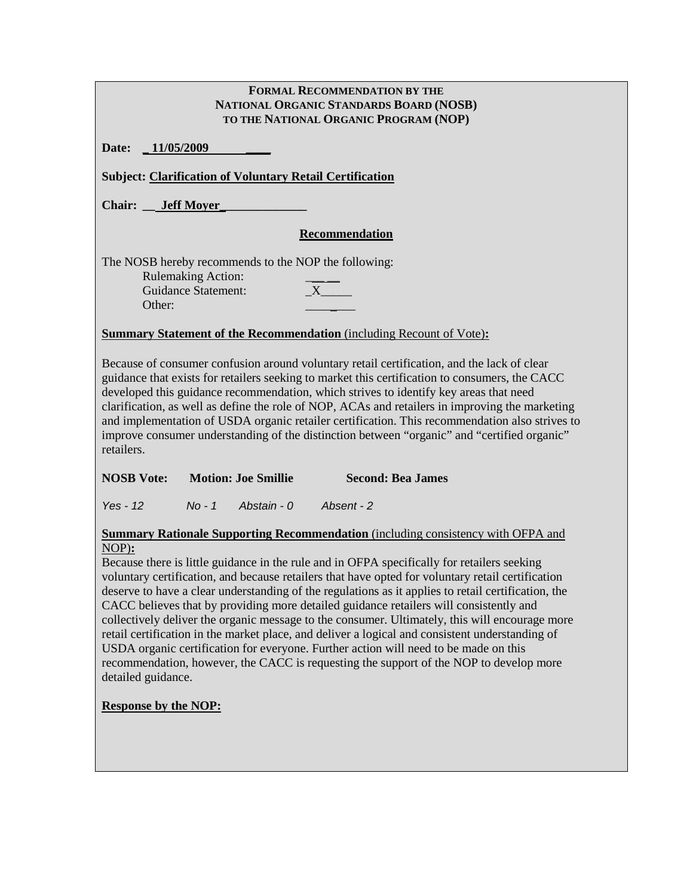| <b>FORMAL RECOMMENDATION BY THE</b>                                                                                                                                                                                                                                                                                                                                                                                                                                                                                                                                                                     |  |  |  |  |  |
|---------------------------------------------------------------------------------------------------------------------------------------------------------------------------------------------------------------------------------------------------------------------------------------------------------------------------------------------------------------------------------------------------------------------------------------------------------------------------------------------------------------------------------------------------------------------------------------------------------|--|--|--|--|--|
| NATIONAL ORGANIC STANDARDS BOARD (NOSB)                                                                                                                                                                                                                                                                                                                                                                                                                                                                                                                                                                 |  |  |  |  |  |
| TO THE NATIONAL ORGANIC PROGRAM (NOP)                                                                                                                                                                                                                                                                                                                                                                                                                                                                                                                                                                   |  |  |  |  |  |
| $-11/05/2009$<br>Date:                                                                                                                                                                                                                                                                                                                                                                                                                                                                                                                                                                                  |  |  |  |  |  |
| <b>Subject: Clarification of Voluntary Retail Certification</b>                                                                                                                                                                                                                                                                                                                                                                                                                                                                                                                                         |  |  |  |  |  |
| <b>Chair:</b> Jeff Moyer                                                                                                                                                                                                                                                                                                                                                                                                                                                                                                                                                                                |  |  |  |  |  |
| <b>Recommendation</b>                                                                                                                                                                                                                                                                                                                                                                                                                                                                                                                                                                                   |  |  |  |  |  |
| The NOSB hereby recommends to the NOP the following:                                                                                                                                                                                                                                                                                                                                                                                                                                                                                                                                                    |  |  |  |  |  |
| <b>Rulemaking Action:</b><br>X<br><b>Guidance Statement:</b>                                                                                                                                                                                                                                                                                                                                                                                                                                                                                                                                            |  |  |  |  |  |
| Other:                                                                                                                                                                                                                                                                                                                                                                                                                                                                                                                                                                                                  |  |  |  |  |  |
|                                                                                                                                                                                                                                                                                                                                                                                                                                                                                                                                                                                                         |  |  |  |  |  |
| <b>Summary Statement of the Recommendation</b> (including Recount of Vote):                                                                                                                                                                                                                                                                                                                                                                                                                                                                                                                             |  |  |  |  |  |
| Because of consumer confusion around voluntary retail certification, and the lack of clear<br>guidance that exists for retailers seeking to market this certification to consumers, the CACC<br>developed this guidance recommendation, which strives to identify key areas that need<br>clarification, as well as define the role of NOP, ACAs and retailers in improving the marketing<br>and implementation of USDA organic retailer certification. This recommendation also strives to<br>improve consumer understanding of the distinction between "organic" and "certified organic"<br>retailers. |  |  |  |  |  |

| <b>NOSB</b> Vote: | <b>Motion: Joe Smillie</b> | <b>Second: Bea James</b> |
|-------------------|----------------------------|--------------------------|
|-------------------|----------------------------|--------------------------|

*Yes - 12 No - 1 Abstain - 0 Absent - 2* 

**Summary Rationale Supporting Recommendation** (including consistency with OFPA and NOP)**:**

Because there is little guidance in the rule and in OFPA specifically for retailers seeking voluntary certification, and because retailers that have opted for voluntary retail certification deserve to have a clear understanding of the regulations as it applies to retail certification, the CACC believes that by providing more detailed guidance retailers will consistently and collectively deliver the organic message to the consumer. Ultimately, this will encourage more retail certification in the market place, and deliver a logical and consistent understanding of USDA organic certification for everyone. Further action will need to be made on this recommendation, however, the CACC is requesting the support of the NOP to develop more detailed guidance.

## **Response by the NOP:**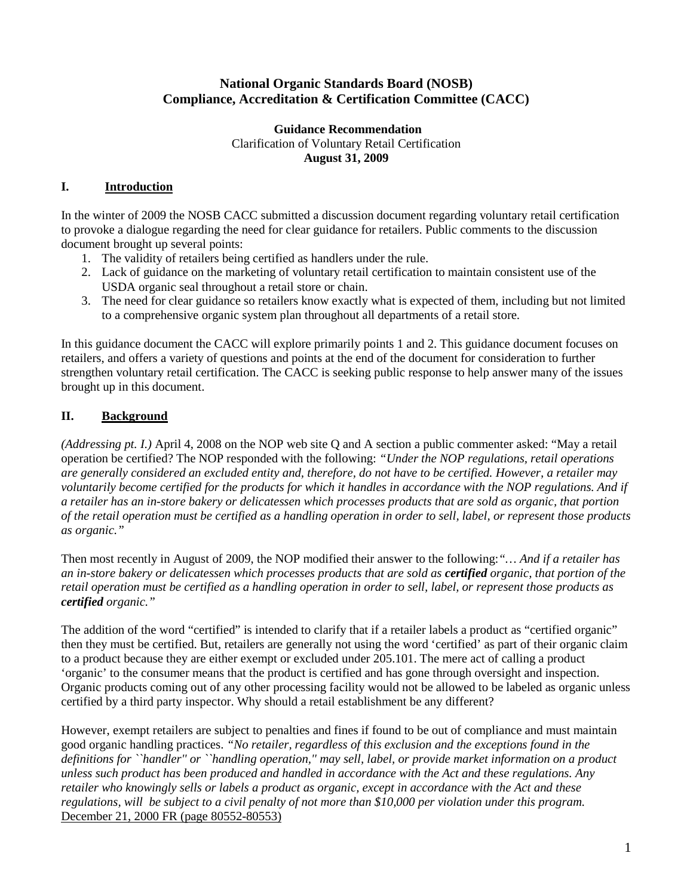# **National Organic Standards Board (NOSB) Compliance, Accreditation & Certification Committee (CACC)**

#### **Guidance Recommendation**  Clarification of Voluntary Retail Certification **August 31, 2009**

# **I. Introduction**

In the winter of 2009 the NOSB CACC submitted a discussion document regarding voluntary retail certification to provoke a dialogue regarding the need for clear guidance for retailers. Public comments to the discussion document brought up several points:

- 1. The validity of retailers being certified as handlers under the rule.
- 2. Lack of guidance on the marketing of voluntary retail certification to maintain consistent use of the USDA organic seal throughout a retail store or chain.
- 3. The need for clear guidance so retailers know exactly what is expected of them, including but not limited to a comprehensive organic system plan throughout all departments of a retail store.

In this guidance document the CACC will explore primarily points 1 and 2. This guidance document focuses on retailers, and offers a variety of questions and points at the end of the document for consideration to further strengthen voluntary retail certification. The CACC is seeking public response to help answer many of the issues brought up in this document.

# **II. Background**

*(Addressing pt. I.)* April 4, 2008 on the NOP web site Q and A section a public commenter asked: "May a retail operation be certified? The NOP responded with the following: *"Under the NOP regulations, retail operations are generally considered an excluded entity and, therefore, do not have to be certified. However, a retailer may voluntarily become certified for the products for which it handles in accordance with the NOP regulations. And if a retailer has an in-store bakery or delicatessen which processes products that are sold as organic, that portion of the retail operation must be certified as a handling operation in order to sell, label, or represent those products as organic."*

Then most recently in August of 2009, the NOP modified their answer to the following:*"… And if a retailer has an in-store bakery or delicatessen which processes products that are sold as certified organic, that portion of the retail operation must be certified as a handling operation in order to sell, label, or represent those products as certified organic."*

The addition of the word "certified" is intended to clarify that if a retailer labels a product as "certified organic" then they must be certified. But, retailers are generally not using the word 'certified' as part of their organic claim to a product because they are either exempt or excluded under 205.101. The mere act of calling a product 'organic' to the consumer means that the product is certified and has gone through oversight and inspection. Organic products coming out of any other processing facility would not be allowed to be labeled as organic unless certified by a third party inspector. Why should a retail establishment be any different?

However, exempt retailers are subject to penalties and fines if found to be out of compliance and must maintain good organic handling practices. *"No retailer, regardless of this exclusion and the exceptions found in the definitions for ``handler'' or ``handling operation,'' may sell, label, or provide market information on a product unless such product has been produced and handled in accordance with the Act and these regulations. Any retailer who knowingly sells or labels a product as organic, except in accordance with the Act and these regulations, will be subject to a civil penalty of not more than \$10,000 per violation under this program.* December 21, 2000 FR (page 80552-80553)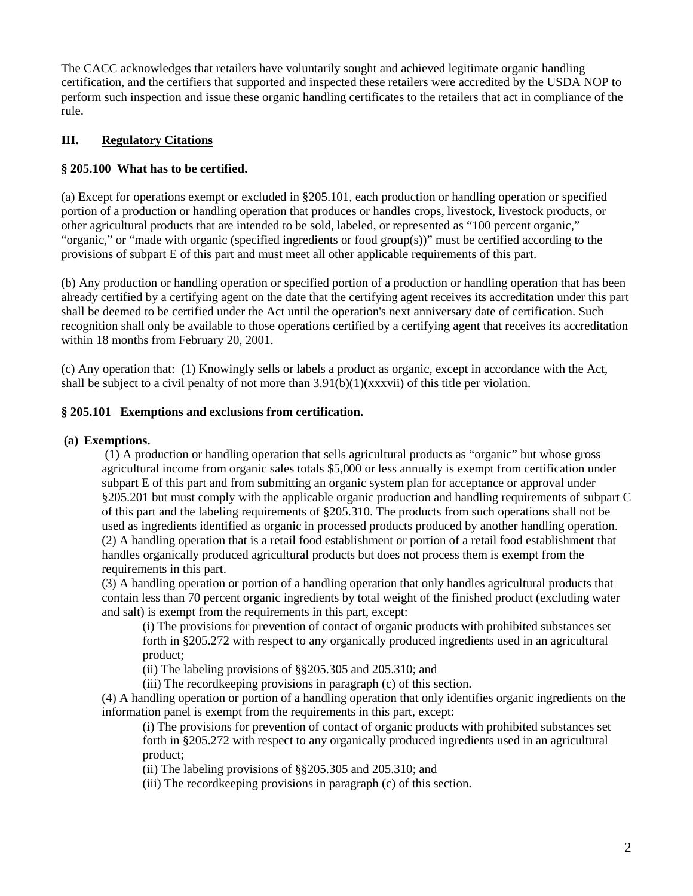The CACC acknowledges that retailers have voluntarily sought and achieved legitimate organic handling certification, and the certifiers that supported and inspected these retailers were accredited by the USDA NOP to perform such inspection and issue these organic handling certificates to the retailers that act in compliance of the rule.

# **III. Regulatory Citations**

## **§ 205.100 What has to be certified.**

(a) Except for operations exempt or excluded in §205.101, each production or handling operation or specified portion of a production or handling operation that produces or handles crops, livestock, livestock products, or other agricultural products that are intended to be sold, labeled, or represented as "100 percent organic," "organic," or "made with organic (specified ingredients or food group(s))" must be certified according to the provisions of subpart E of this part and must meet all other applicable requirements of this part.

(b) Any production or handling operation or specified portion of a production or handling operation that has been already certified by a certifying agent on the date that the certifying agent receives its accreditation under this part shall be deemed to be certified under the Act until the operation's next anniversary date of certification. Such recognition shall only be available to those operations certified by a certifying agent that receives its accreditation within 18 months from February 20, 2001.

(c) Any operation that: (1) Knowingly sells or labels a product as organic, except in accordance with the Act, shall be subject to a civil penalty of not more than  $3.91(b)(1)(xxxxvi)$  of this title per violation.

### **§ 205.101 Exemptions and exclusions from certification.**

### **(a) Exemptions.**

(1) A production or handling operation that sells agricultural products as "organic" but whose gross agricultural income from organic sales totals \$5,000 or less annually is exempt from certification under subpart E of this part and from submitting an organic system plan for acceptance or approval under §205.201 but must comply with the applicable organic production and handling requirements of subpart C of this part and the labeling requirements of §205.310. The products from such operations shall not be used as ingredients identified as organic in processed products produced by another handling operation. (2) A handling operation that is a retail food establishment or portion of a retail food establishment that handles organically produced agricultural products but does not process them is exempt from the requirements in this part.

(3) A handling operation or portion of a handling operation that only handles agricultural products that contain less than 70 percent organic ingredients by total weight of the finished product (excluding water and salt) is exempt from the requirements in this part, except:

(i) The provisions for prevention of contact of organic products with prohibited substances set forth in §205.272 with respect to any organically produced ingredients used in an agricultural product;

(ii) The labeling provisions of §§205.305 and 205.310; and

(iii) The recordkeeping provisions in paragraph (c) of this section.

(4) A handling operation or portion of a handling operation that only identifies organic ingredients on the information panel is exempt from the requirements in this part, except:

(i) The provisions for prevention of contact of organic products with prohibited substances set forth in §205.272 with respect to any organically produced ingredients used in an agricultural product;

(ii) The labeling provisions of §§205.305 and 205.310; and

(iii) The recordkeeping provisions in paragraph (c) of this section.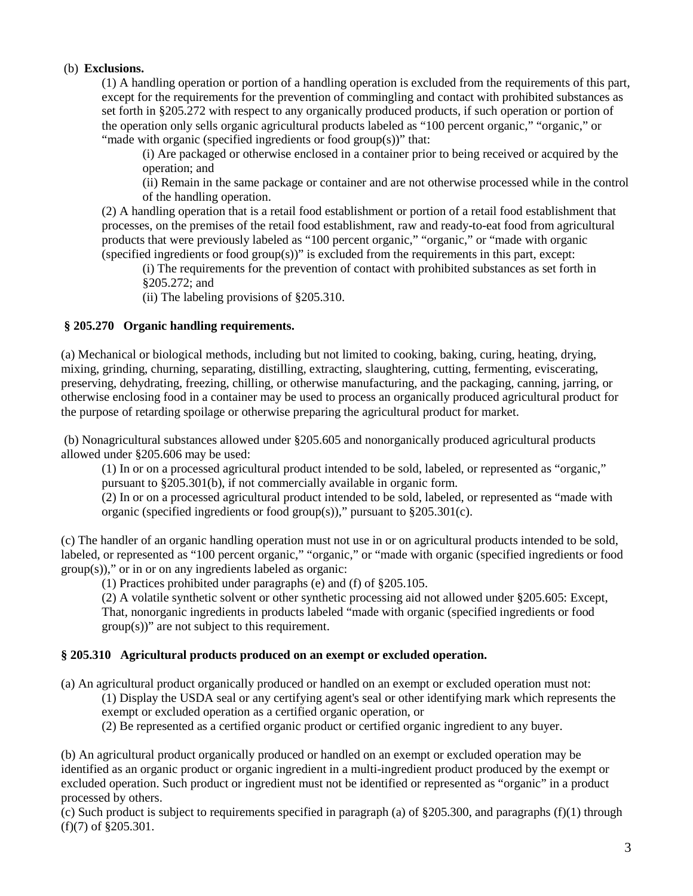### (b) **Exclusions.**

(1) A handling operation or portion of a handling operation is excluded from the requirements of this part, except for the requirements for the prevention of commingling and contact with prohibited substances as set forth in §205.272 with respect to any organically produced products, if such operation or portion of the operation only sells organic agricultural products labeled as "100 percent organic," "organic," or "made with organic (specified ingredients or food group(s))" that:

(i) Are packaged or otherwise enclosed in a container prior to being received or acquired by the operation; and

(ii) Remain in the same package or container and are not otherwise processed while in the control of the handling operation.

(2) A handling operation that is a retail food establishment or portion of a retail food establishment that processes, on the premises of the retail food establishment, raw and ready-to-eat food from agricultural products that were previously labeled as "100 percent organic," "organic," or "made with organic (specified ingredients or food group(s))" is excluded from the requirements in this part, except:

(i) The requirements for the prevention of contact with prohibited substances as set forth in §205.272; and

(ii) The labeling provisions of §205.310.

#### **§ 205.270 Organic handling requirements.**

(a) Mechanical or biological methods, including but not limited to cooking, baking, curing, heating, drying, mixing, grinding, churning, separating, distilling, extracting, slaughtering, cutting, fermenting, eviscerating, preserving, dehydrating, freezing, chilling, or otherwise manufacturing, and the packaging, canning, jarring, or otherwise enclosing food in a container may be used to process an organically produced agricultural product for the purpose of retarding spoilage or otherwise preparing the agricultural product for market.

(b) Nonagricultural substances allowed under §205.605 and nonorganically produced agricultural products allowed under §205.606 may be used:

(1) In or on a processed agricultural product intended to be sold, labeled, or represented as "organic," pursuant to §205.301(b), if not commercially available in organic form.

(2) In or on a processed agricultural product intended to be sold, labeled, or represented as "made with organic (specified ingredients or food group(s))," pursuant to §205.301(c).

(c) The handler of an organic handling operation must not use in or on agricultural products intended to be sold, labeled, or represented as "100 percent organic," "organic," or "made with organic (specified ingredients or food group(s))," or in or on any ingredients labeled as organic:

(1) Practices prohibited under paragraphs (e) and (f) of §205.105.

(2) A volatile synthetic solvent or other synthetic processing aid not allowed under §205.605: Except, That, nonorganic ingredients in products labeled "made with organic (specified ingredients or food group(s))" are not subject to this requirement.

#### **§ 205.310 Agricultural products produced on an exempt or excluded operation.**

(a) An agricultural product organically produced or handled on an exempt or excluded operation must not:

(1) Display the USDA seal or any certifying agent's seal or other identifying mark which represents the exempt or excluded operation as a certified organic operation, or

(2) Be represented as a certified organic product or certified organic ingredient to any buyer.

(b) An agricultural product organically produced or handled on an exempt or excluded operation may be identified as an organic product or organic ingredient in a multi-ingredient product produced by the exempt or excluded operation. Such product or ingredient must not be identified or represented as "organic" in a product processed by others.

(c) Such product is subject to requirements specified in paragraph (a) of  $\S205.300$ , and paragraphs (f)(1) through (f)(7) of §205.301.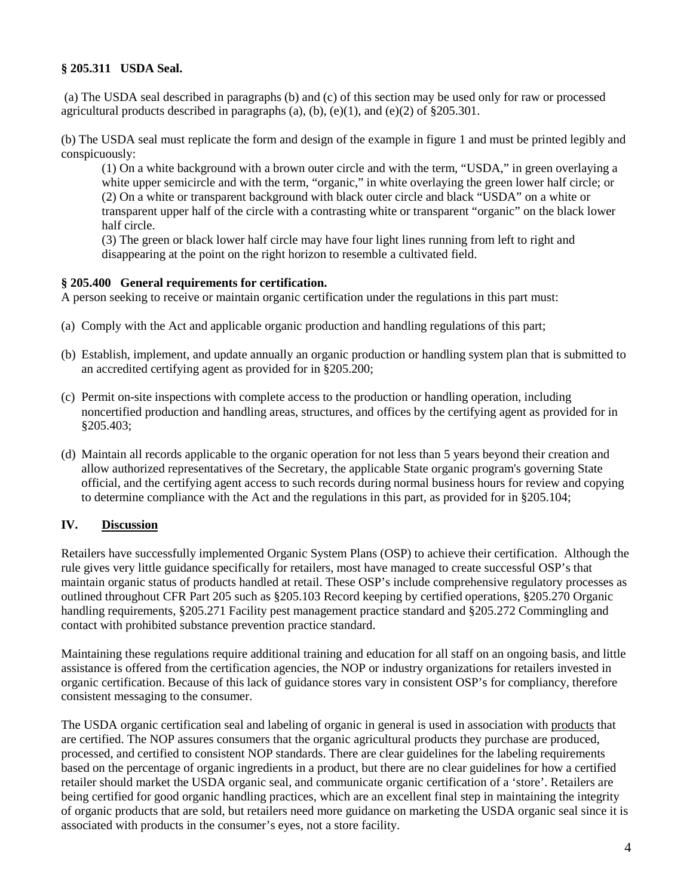# **§ 205.311 USDA Seal.**

(a) The USDA seal described in paragraphs (b) and (c) of this section may be used only for raw or processed agricultural products described in paragraphs (a), (b), (e)(1), and (e)(2) of  $\S 205.301$ .

(b) The USDA seal must replicate the form and design of the example in figure 1 and must be printed legibly and conspicuously:

(1) On a white background with a brown outer circle and with the term, "USDA," in green overlaying a white upper semicircle and with the term, "organic," in white overlaying the green lower half circle; or (2) On a white or transparent background with black outer circle and black "USDA" on a white or transparent upper half of the circle with a contrasting white or transparent "organic" on the black lower half circle.

(3) The green or black lower half circle may have four light lines running from left to right and disappearing at the point on the right horizon to resemble a cultivated field.

#### **§ 205.400 General requirements for certification.**

A person seeking to receive or maintain organic certification under the regulations in this part must:

- (a) Comply with the Act and applicable organic production and handling regulations of this part;
- (b) Establish, implement, and update annually an organic production or handling system plan that is submitted to an accredited certifying agent as provided for in §205.200;
- (c) Permit on-site inspections with complete access to the production or handling operation, including noncertified production and handling areas, structures, and offices by the certifying agent as provided for in §205.403;
- (d) Maintain all records applicable to the organic operation for not less than 5 years beyond their creation and allow authorized representatives of the Secretary, the applicable State organic program's governing State official, and the certifying agent access to such records during normal business hours for review and copying to determine compliance with the Act and the regulations in this part, as provided for in §205.104;

## **IV. Discussion**

Retailers have successfully implemented Organic System Plans (OSP) to achieve their certification. Although the rule gives very little guidance specifically for retailers, most have managed to create successful OSP's that maintain organic status of products handled at retail. These OSP's include comprehensive regulatory processes as outlined throughout CFR Part 205 such as §205.103 Record keeping by certified operations, §205.270 Organic handling requirements, §205.271 Facility pest management practice standard and §205.272 Commingling and contact with prohibited substance prevention practice standard.

Maintaining these regulations require additional training and education for all staff on an ongoing basis, and little assistance is offered from the certification agencies, the NOP or industry organizations for retailers invested in organic certification. Because of this lack of guidance stores vary in consistent OSP's for compliancy, therefore consistent messaging to the consumer.

The USDA organic certification seal and labeling of organic in general is used in association with products that are certified. The NOP assures consumers that the organic agricultural products they purchase are produced, processed, and certified to consistent NOP standards. There are clear guidelines for the labeling requirements based on the percentage of organic ingredients in a product, but there are no clear guidelines for how a certified retailer should market the USDA organic seal, and communicate organic certification of a 'store'. Retailers are being certified for good organic handling practices, which are an excellent final step in maintaining the integrity of organic products that are sold, but retailers need more guidance on marketing the USDA organic seal since it is associated with products in the consumer's eyes, not a store facility.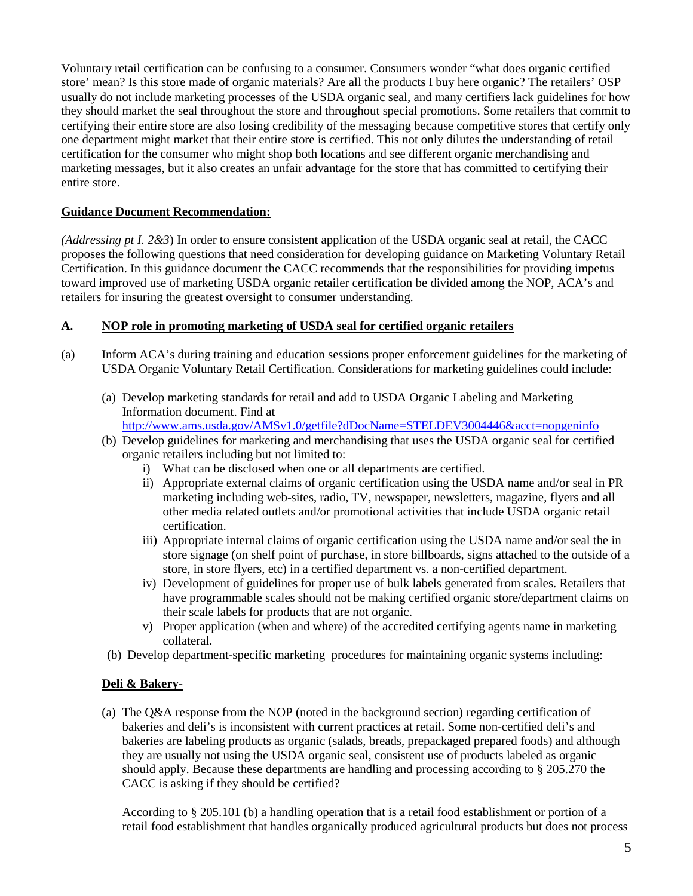Voluntary retail certification can be confusing to a consumer. Consumers wonder "what does organic certified store' mean? Is this store made of organic materials? Are all the products I buy here organic? The retailers' OSP usually do not include marketing processes of the USDA organic seal, and many certifiers lack guidelines for how they should market the seal throughout the store and throughout special promotions. Some retailers that commit to certifying their entire store are also losing credibility of the messaging because competitive stores that certify only one department might market that their entire store is certified. This not only dilutes the understanding of retail certification for the consumer who might shop both locations and see different organic merchandising and marketing messages, but it also creates an unfair advantage for the store that has committed to certifying their entire store.

# **Guidance Document Recommendation:**

*(Addressing pt I. 2&3*) In order to ensure consistent application of the USDA organic seal at retail, the CACC proposes the following questions that need consideration for developing guidance on Marketing Voluntary Retail Certification. In this guidance document the CACC recommends that the responsibilities for providing impetus toward improved use of marketing USDA organic retailer certification be divided among the NOP, ACA's and retailers for insuring the greatest oversight to consumer understanding.

## **A. NOP role in promoting marketing of USDA seal for certified organic retailers**

- (a) Inform ACA's during training and education sessions proper enforcement guidelines for the marketing of USDA Organic Voluntary Retail Certification. Considerations for marketing guidelines could include:
	- (a) Develop marketing standards for retail and add to USDA Organic Labeling and Marketing Information document. Find at

<http://www.ams.usda.gov/AMSv1.0/getfile?dDocName=STELDEV3004446&acct=nopgeninfo>

- (b) Develop guidelines for marketing and merchandising that uses the USDA organic seal for certified organic retailers including but not limited to:
	- i) What can be disclosed when one or all departments are certified.
	- ii) Appropriate external claims of organic certification using the USDA name and/or seal in PR marketing including web-sites, radio, TV, newspaper, newsletters, magazine, flyers and all other media related outlets and/or promotional activities that include USDA organic retail certification.
	- iii) Appropriate internal claims of organic certification using the USDA name and/or seal the in store signage (on shelf point of purchase, in store billboards, signs attached to the outside of a store, in store flyers, etc) in a certified department vs. a non-certified department.
	- iv) Development of guidelines for proper use of bulk labels generated from scales. Retailers that have programmable scales should not be making certified organic store/department claims on their scale labels for products that are not organic.
	- v) Proper application (when and where) of the accredited certifying agents name in marketing collateral.
- (b) Develop department-specific marketing procedures for maintaining organic systems including:

## **Deli & Bakery-**

(a) The Q&A response from the NOP (noted in the background section) regarding certification of bakeries and deli's is inconsistent with current practices at retail. Some non-certified deli's and bakeries are labeling products as organic (salads, breads, prepackaged prepared foods) and although they are usually not using the USDA organic seal, consistent use of products labeled as organic should apply. Because these departments are handling and processing according to § 205.270 the CACC is asking if they should be certified?

According to § 205.101 (b) a handling operation that is a retail food establishment or portion of a retail food establishment that handles organically produced agricultural products but does not process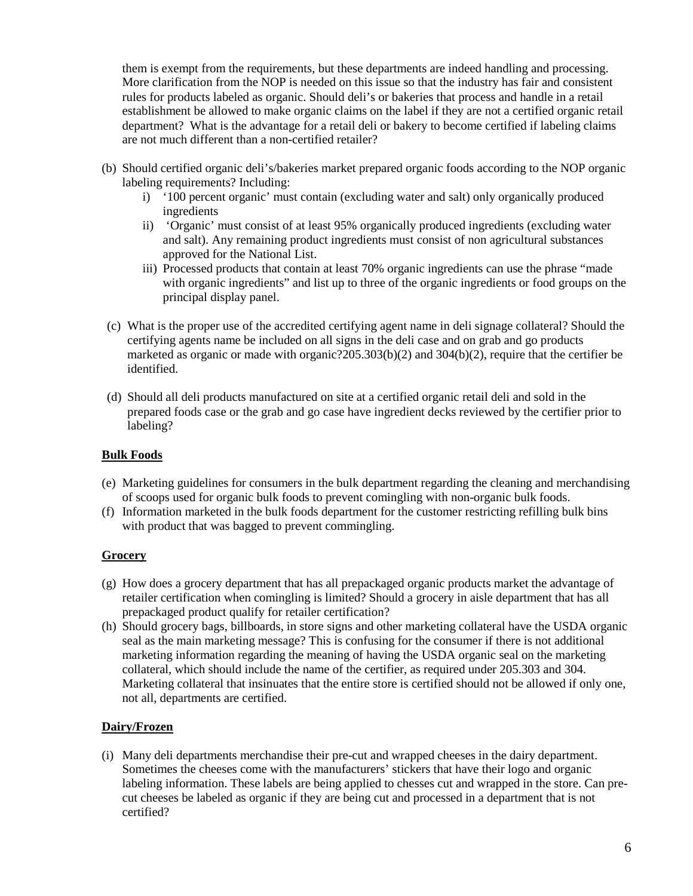them is exempt from the requirements, but these departments are indeed handling and processing. More clarification from the NOP is needed on this issue so that the industry has fair and consistent rules for products labeled as organic. Should deli's or bakeries that process and handle in a retail establishment be allowed to make organic claims on the label if they are not a certified organic retail department? What is the advantage for a retail deli or bakery to become certified if labeling claims are not much different than a non-certified retailer?

- (b) Should certified organic deli's/bakeries market prepared organic foods according to the NOP organic labeling requirements? Including:
	- i) '100 percent organic' must contain (excluding water and salt) only organically produced ingredients
	- ii) 'Organic' must consist of at least 95% organically produced ingredients (excluding water and salt). Any remaining product ingredients must consist of non agricultural substances approved for the National List.
	- iii) Processed products that contain at least 70% organic ingredients can use the phrase "made with organic ingredients" and list up to three of the organic ingredients or food groups on the principal display panel.
- (c) What is the proper use of the accredited certifying agent name in deli signage collateral? Should the certifying agents name be included on all signs in the deli case and on grab and go products marketed as organic or made with organic?205.303(b)(2) and 304(b)(2), require that the certifier be identified.
- (d) Should all deli products manufactured on site at a certified organic retail deli and sold in the prepared foods case or the grab and go case have ingredient decks reviewed by the certifier prior to labeling?

# **Bulk Foods**

- (e) Marketing guidelines for consumers in the bulk department regarding the cleaning and merchandising of scoops used for organic bulk foods to prevent comingling with non-organic bulk foods.
- (f) Information marketed in the bulk foods department for the customer restricting refilling bulk bins with product that was bagged to prevent commingling.

## **Grocery**

- (g) How does a grocery department that has all prepackaged organic products market the advantage of retailer certification when comingling is limited? Should a grocery in aisle department that has all prepackaged product qualify for retailer certification?
- (h) Should grocery bags, billboards, in store signs and other marketing collateral have the USDA organic seal as the main marketing message? This is confusing for the consumer if there is not additional marketing information regarding the meaning of having the USDA organic seal on the marketing collateral, which should include the name of the certifier, as required under 205.303 and 304. Marketing collateral that insinuates that the entire store is certified should not be allowed if only one, not all, departments are certified.

## **Dairy/Frozen**

(i) Many deli departments merchandise their pre-cut and wrapped cheeses in the dairy department. Sometimes the cheeses come with the manufacturers' stickers that have their logo and organic labeling information. These labels are being applied to chesses cut and wrapped in the store. Can precut cheeses be labeled as organic if they are being cut and processed in a department that is not certified?